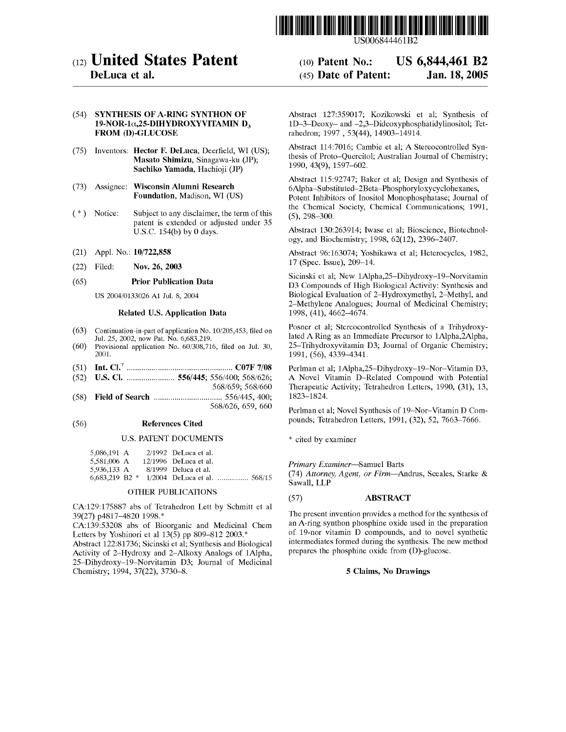

US006844461B2

# (12) **United States Patent**

## **DeLuca et al.**

## (54) **SYNTHESIS OF A-RING SYNTHON OF 19-NOR-la,25-DIHYDROXYVITAMIN D<sup>3</sup> FROM (D)-GLUCOSE**

- (75) Inventors: **Hector F. DeLuca,** Deerfield, WI (US); **Masato Shimizu,** Sinagawa-ku (JP); **Sachiko Yamada,** Hachioji (JP)
- (73) Assignee: **Wisconsin Alumni Research Foundation,** Madison, **WI** (US)
- ( \*) Notice: Subject to any disclaimer, the term of this patent is extended or adjusted under 35 U.S.C. 154(b) by O days.
- (21) Appl. No.: **10/722,858**
- (22) Filed: **Nov. 26, 2003**

#### ( 65) **Prior Publication Data**

US 2004/0133026 Al Jul. 8, 2004

#### **Related U.S. Application Data**

- ( 63) Continuation-in-part of application No. 10/205,453, filed on Jul. 25, 2002, now Pat. No. 6,683,219.
- (60) Provisional application No. 60/308,716, filed on Jul. 30, 2001.
- (51) **Int. CI.7** ................................................... **C07F 7/08**
- (52) **U.S. Cl.** ....................... **556/445;** 556/400; 568/626;
- 568/659; 568/660 (58) **Field of Search** ................................. 556/445, 400; 568/626, 659, 660

#### (56) **References Cited**

#### U.S. PATENT DOCUMENTS

| 5,086,191 A        |  | $2/1992$ DeLuca et al.  |                              |
|--------------------|--|-------------------------|------------------------------|
| 5.581,006 A        |  | $12/1996$ DeLuca et al. |                              |
| 5,936,133 A        |  | 8/1999 Deluca et al.    |                              |
| $6,683,219$ B2 $*$ |  |                         | 1/2004 DeLuca et al.  568/15 |

#### OTHER PUBLICATIONS

CA:129:175887 abs of Tetrahedron Lett by Schmitt et al 39(27) p4817-4820 1998.\*

CA:139:53208 abs of Bioorganic and Medicinal Chem Letters by Yoshinori et al 13(5) pp 809-812 2003.\*

Abstract 122:81736; Sicinski et al; Synthesis and Biological Activity of 2-Hydroxy and 2-Alkoxy Analogs of lAlpha, 25-Dihydroxy-19-Norvitamin D3; Journal of Medicinal Chemistry; 1994, 37(22), 3730-8.

#### (10) **Patent No.:**  (45) **Date of Patent: US 6,844,461 B2 Jan.18,2005**

Abstract 127:359017; Kozikowski et al; Synthesis of lD-3-Deoxy- and -2,3-Dideoxyphosphatidylinositol; Tetrahedron; 1997, 53(44), 14903-14914.

Abstract 114:7016; Cambie et al; A Stereocontrolled Synthesis of Proto-Quercitol; Australian Journal of Chemistry; 1990, 43(9), 1597-602.

Abstract 115:92747; Baker et al; Design and Synthesis of 6Alpha-Substituted-2Beta-Phosphoryloxycyclohexanes, Potent Inhibitors of Inositol Monophosphatase; Journal of the Chemical Society, Chemical Communications; 1991, (5), 298-300.

Abstract 130:263914; Iwase et al; Bioscience, Biotechnology, and Biochemistry; 1998, 62(12), 2396-2407.

Abstract 96:163074; Yoshikawa et al; Heterocycles, 1982, 17 (Spec. Issue), 209-14.

Sicinski et al; New lAlpha,25-Dihydroxy-19-Norvitamin D3 Compounds of High Biological Activity: Synthesis and Biological Evaluation of 2-Hydroxymethyl, 2-Methyl, and 2-Methylene Analogues; Journal of Medicinal Chemistry; 1998, (41), 4662-4674.

Posner et al; Stereocontrolled Synthesis of a Trihydroxylated A Ring as an Immediate Precursor to 1Alpha,2Alpha, 25-Trihydroxyvitamin D3; Journal of Organic Chemistry; 1991, (56), 4339-4341.

Perlman et al; lAlpha,25-Dihydroxy-19-Nor-Vitamin D3, **A** Novel Vitamin D-Related Compound with Potential Therapeutic Activity; Tetrahedron Letters, 1990, (31), 13, 1823-1824.

Perlman et al; Novel Synthesis of 19-Nor-Vitamin D Compounds; Tetrahedron Letters, 1991, (32), 52, 7663-7666.

\* cited by examiner

### *Primary Examiner-Samuel* Barts

(74) *Attorney, Agent, or Firm-Andrus,* Sceales, Starke & Sawall, LLP

#### (57) **ABSTRACT**

The present invention provides a method for the synthesis of an A-ring synthon phosphine oxide used in the preparation of 19-nor vitamin D compounds, and to novel synthetic intermediates formed during the synthesis. The new method prepares the phosphine oxide from (D)-glucose.

#### **5 Claims, No Drawings**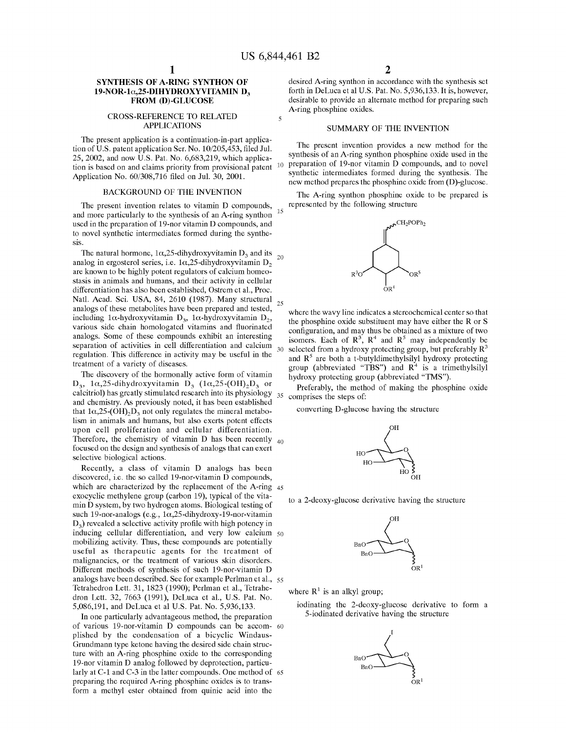#### **SYNTHESIS OF A-RING SYNTHON OF 19-NOR-la,25-DIHYDROXYVITAMIN D<sup>3</sup> FROM (D)-GLUCOSE**

#### CROSS-REFERENCE TO RELATED APPLICATIONS

The present application is a continuation-in-part application of U.S. patent application Ser. No. 10/205,453, filed Jul. 25, 2002, and now U.S. Pat. No. 6,683,219, which application is based on and claims priority from provisional patent <sup>10</sup> Application No. 60/308,716 filed on Jul. 30, 2001.

#### **BACKGROUND OF THE INVENTION**

The present invention relates to vitamin D compounds, and more particularly to the synthesis of an A-ring synthon <sup>15</sup> used in the preparation of 19-nor vitamin D compounds, and to novel synthetic intermediates formed during the synthe**sis.** 

The natural hormone,  $1\alpha$ ,25-dihydroxyvitamin D<sub>3</sub> and its analog in ergosterol series, i.e.  $1\alpha$ ,25-dihydroxyvitamin D<sub>2</sub> are known to be highly potent regulators of calcium homeostasis in animals and humans, and their activity in cellular differentiation has also been established, Ostrem et al., Proc. Natl. Acad. Sci. USA, 84, 2610 (1987). Many structural analogs of these metabolites have been prepared and tested, including 1 $\alpha$ -hydroxyvitamin  $D_3$ , 1 $\alpha$ -hydroxyvitamin  $D_2$ , various side chain homologated vitamins and fluorinated analogs. Some of these compounds exhibit an interesting separation of activities in cell differentiation and calcium 30 regulation. This difference in activity may be useful in the treatment of a variety of diseases.

The discovery of the hormonally active form of vitamin  $D_3$ , 1 $\alpha$ ,25-dihydroxyvitamin  $D_3$  (1 $\alpha$ ,25-(OH)<sub>2</sub> $D_3$  or calcitriol) has greatly stimulated research into its physiology  $_{35}$ and chemistry. As previously noted, it has been established that  $1\alpha$ ,25-(OH)<sub>2</sub>D<sub>3</sub> not only regulates the mineral metabolism in animals and humans, but also exerts potent effects upon cell proliferation and cellular differentiation. Therefore, the chemistry of vitamin D has been recently  $_{40}$ focused on the design and synthesis of analogs that can exert selective biological actions.

Recently, a class of vitamin D analogs has been discovered, i.e. the so called 19-nor-vitamin **D** compounds, which are characterized by the replacement of the A-ring 45 exocyclic methylene group (carbon 19), typical of the vitamin **D** system, by two hydrogen atoms. Biological testing of such 19-nor-analogs (e.g., la,25-dihydroxy-19-nor-vitamin **D<sup>3</sup> )** revealed a selective activity profile with high potency in inducing cellular differentiation, and very low calcium 50 mobilizing activity. Thus, these compounds are potentially useful as therapeutic agents for the treatment of malignancies, or the treatment of various skin disorders. Different methods of synthesis of such 19-nor-vitamin D analogs have been described. See for example Perlman et al., 55 Tetrahedron Lett. 31, 1823 (1990); Perlman et al., Tetrahedron Lett. 32, 7663 (1991), DeLuca et al., U.S. Pat. No. 5,086,191, and DeLuca et al U.S. Pat. No. 5,936,133.

In one particularly advantageous method, the preparation of various 19-nor-vitamin D compounds can be accom- 60 plished by the condensation of a bicyclic Windaus-Grundmann type ketone having the desired side chain structure with an A-ring phosphine oxide to the corresponding 19-nor vitamin D analog followed by deprotection, particularly at C-1 and C-3 in the latter compounds. One method of 65 preparing the required A-ring phosphine oxides is to transform a methyl ester obtained from quinic acid into the

desired A-ring synthon in accordance with the synthesis set forth in DeLuca et al U.S. Pat. No. 5,936,133. It is, however, desirable to provide an alternate method for preparing such A-ring phosphine oxides.

#### SUMMARY OF THE INVENTION

The present invention provides a new method for the synthesis of an A-ring synthon phosphine oxide used in the preparation of 19-nor vitamin D compounds, and to novel synthetic intermediates formed during the synthesis. The new method prepares the phosphine oxide from (D)-glucose.

The A-ring synthon phosphine oxide to be prepared is represented by the following structure



where the wavy line indicates a stereochemical center so that the phosphine oxide substituent may have either the **R** or **S**  configuration, and may thus be obtained as a mixture of two isomers. Each of  $\mathbb{R}^3$ ,  $\mathbb{R}^4$  and  $\mathbb{R}^5$  may independently be selected from a hydroxy protecting group, but preferably **R<sup>3</sup>** and  $\mathbb{R}^3$  are both a t-butyldimethylsilyl hydroxy protecting group (abbreviated **"TBS")** and **R<sup>4</sup>**is a trimethylsilyl hydroxy protecting group (abbreviated **"TMS").** 

Preferably, the method of making the phosphine oxide comprises the steps of:

converting D-glucose having the structure



to a 2-deoxy-glucose derivative having the structure



where  $R<sup>1</sup>$  is an alkyl group;

iodinating the 2-deoxy-glucose derivative to form a 5-iodinated derivative having the structure

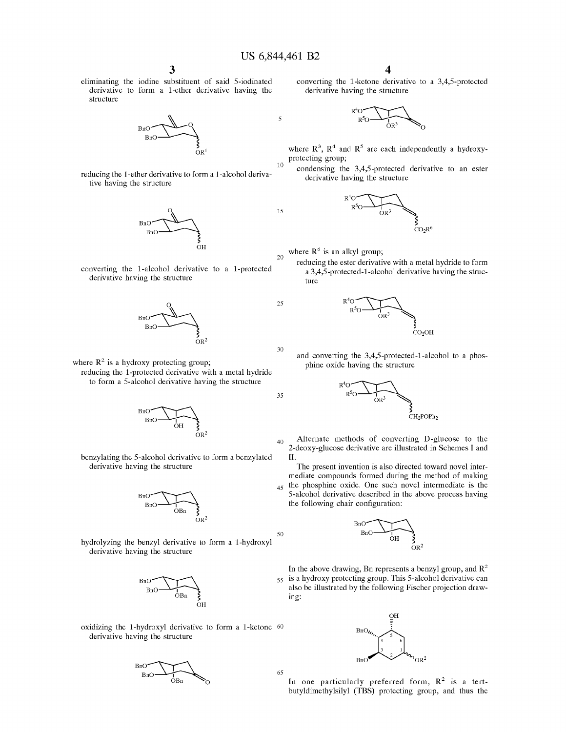10

15

25

30

35

eliminating the iodine substituent of said 5-iodinated derivative to form a 1-ether derivative having the structure



reducing the 1-ether derivative to form a 1-alcohol derivative having the structure







where  $R^2$  is a hydroxy protecting group; reducing the 1-protected derivative with a metal hydride to form a 5-alcohol derivative having the structure



benzylating the 5-alcohol derivative to form a benzylated derivative having the structure



hydrolyzing the benzyl derivative to form a 1-hydroxyl derivative having the structure



oxidizing the 1-hydroxyl derivative to form a 1-ketone 60 derivative having the structure



converting the 1-ketone derivative to a 3,4,5-protected derivative having the structure



where  $\mathbb{R}^3$ ,  $\mathbb{R}^4$  and  $\mathbb{R}^5$  are each independently a hydroxyprotecting group;

condensing the 3,4,5-protected derivative to an ester derivative having the structure  $R^{4}O$ derivative having the structure



20 where  $R^6$  is an alkyl group;

reducing the ester derivative with a metal hydride to form a 3,4,5-protected-1-alcohol derivative having the structure<br>  $R^4O$ ture



and converting the 3,4,5-protected-1-alcohol to a phos-<br>phine oxide having the structure<br> $R^4O$ phine oxide having the structure



40 Alternate methods of converting D-glucose to the 2-deoxy-glucose derivative are illustrated in Schemes I and II.

The present invention is also directed toward novel intermediate compounds formed during the method of making  $_{45}$  the phosphine oxide. One such novel intermediate is the 5-alcohol derivative described in the above process having the following chair configuration:



In the above drawing, Bn represents a benzyl group, and  $\mathbb{R}^2$ 55 is a hydroxy protecting group. This 5-alcohol derivative can also be illustrated by the following Fischer projection drawing:



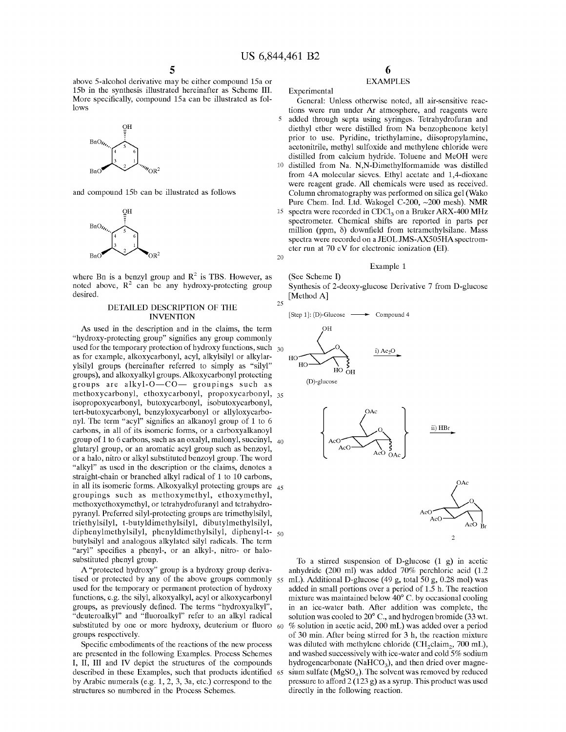above 5-alcohol derivative may be either compound 15a or 15b in the synthesis illustrated hereinafter as Scheme III. More specifically, compound 15a can be illustrated as follows



and compound 15b can be illustrated as follows



where Bn is a benzyl group and  $R^2$  is TBS. However, as noted above,  $R^2$  can be any hydroxy-protecting group desired.

#### **DETAILED DESCRIPTION OF THE INVENTION**

As used in the description and in the claims, the term "hydroxy-protecting group" signifies any group commonly used for the temporary protection of hydroxy functions, such  $_{30}$ as for example, alkoxycarbonyl, acyl, alkylsilyl or alkylarylsilyl groups (hereinafter referred to simply as "silyl" groups), and alkoxyalkyl groups. Alkoxycarbonyl protecting groups are alkyl- $O$ - $CO$ - groupings such as methoxycarbonyl, ethoxycarbonyl, propoxycarbonyl, 35 isopropoxycarbonyl, butoxycarbonyl, isobutoxycarbonyl, tert-butoxycarbonyl, benzyloxycarbonyl or allyloxycarbonyl. The term "acyl" signifies an alkanoyl group of 1 to 6 carbons, in all of its isomeric forms, or a carboxyalkanoyl group of 1 to 6 carbons, such as an oxalyl, malonyl, succinyl,  $_{40}$ glutaryl group, or an aromatic acyl group such as benzoyl, or a halo, nitro or alkyl substituted benzoyl group. The word "alkyl" as used in the description or the claims, denotes a straight-chain or branched alkyl radical of 1 to 10 carbons, in all its isomeric forms. Alkoxyalkyl protecting groups are  $_{45}$ groupings such as methoxymethyl, ethoxymethyl, methoxyethoxymethyl, or tetrahydrofuranyl and tetrahydropyranyl. Preferred silyl-protecting groups are trimethylsilyl, triethylsilyl, t-buty ldimethylsilyl, dibutylmethylsily 1, diphenylmethylsilyl, phenyldimethylsilyl, diphenyl-t- <sup>50</sup> butylsilyl and analogous alkylated silyl radicals. The term "aryl" specifies a phenyl-, or an alkyl-, nitro- or halosubstituted phenyl group.

A "protected hydroxy" group is a hydroxy group derivatised or protected by any of the above groups commonly 55 used for the temporary or permanent protection of hydroxy functions, e.g. the silyl, alkoxyalkyl, acyl or alkoxycarbonyl groups, as previously defined. The terms "hydroxyalkyl", "deuteroalkyl" and "fluoroalkyl" refer to an alkyl radical substituted by one or more hydroxy, deuterium or fluoro  $60$ groups respectively.

Specific embodiments of the reactions of the new process are presented in the following Examples. Process Schemes I, II, III and IV depict the structures of the compounds described in these Examples, such that products identified 65 by Arabic numerals (e.g. 1, 2, 3, 3a, etc.) correspond to the structures so numbered in the Process Schemes.

## **EXAMPLES**

Experimental

General: Unless otherwise noted, all air-sensitive reactions were run under Ar atmosphere, and reagents were 5 added through septa using syringes. Tetrahydrofuran and diethyl ether were distilled from Na benzophenone ketyl prior to use. Pyridine, triethylamine, diisopropylamine, acetonitrile, methyl sulfoxide and methylene chloride were distilled from calcium hydride. Toluene and MeOH were

- 10 distilled from Na. N,N-Dimethylformamide was distilled from 4A molecular sieves. Ethyl acetate and 1,4-dioxane were reagent grade. All chemicals were used as received. Column chromatography was performed on silica gel (Waka Pure Chem. Ind. Ltd. Wakogel C-200, ~200 mesh). NMR
- QH 15 spectra were recorded in CDCl<sub>3</sub> on a Bruker ARX-400 MHz spectrometer. Chemical shifts are reported in parts per million (ppm,  $\delta$ ) downfield from tetramethylsilane. Mass spectra were recorded on a JEOLJMS-AX505HAspectrometer run at 70 eV for electronic ionization (EI). 20

#### Example 1

(See Scheme I) Synthesis of 2-deoxy-glucose Derivative 7 from D-glucose [Method A]





(D)-glucose





To a stirred suspension of D-glucose (1 g) in acetic anhydride (200 ml) was added 70% perchloric acid (1.2 mL). Additional D-glucose (49 g, total 50 g, 0.28 mol) was added in small portions over a period of 1.5 h. The reaction mixture was maintained below 40° C. by occasional cooling in an ice-water bath. After addition was complete, the solution was cooled to 20° C., and hydrogen bromide (33 wt. % solution in acetic acid, 200 mL) was added over a period of 30 min. After being stirred for 3 h, the reaction mixture was diluted with methylene chloride (CH<sub>2</sub> claim<sub>2</sub>, 700 mL), and washed successively with ice-water and cold 5% sodium hydrogencarbonate (Na $HCO<sub>3</sub>$ ), and then dried over magnesium sulfate ( $MgSO<sub>4</sub>$ ). The solvent was removed by reduced pressure to afford  $2(123 g)$  as a syrup. This product was used directly in the following reaction.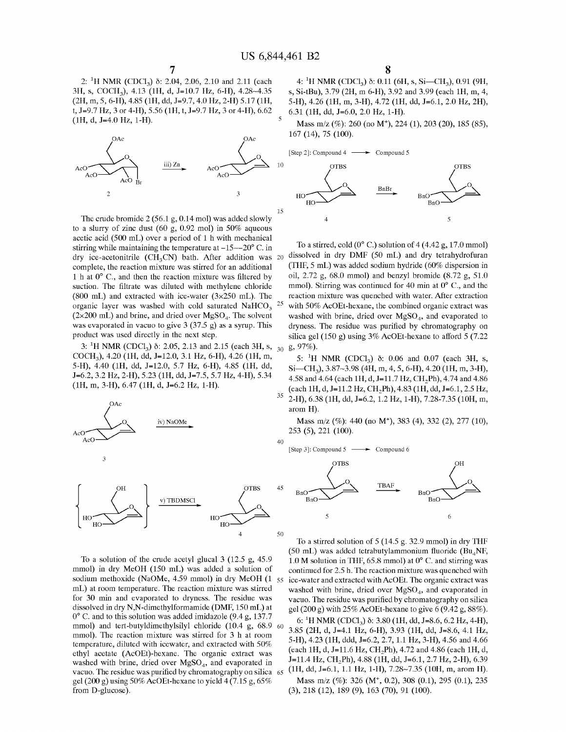2: <sup>1</sup>H NMR (CDCl<sub>3</sub>) δ: 2.04, 2.06, 2.10 and 2.11 (each 3H, s, COCH3), 4.13 (lH, d, *1=10.7* Hz, 6-H), 4.28-4.35 (2H, m, 5, 6-H), 4.85 (lH, dd, *1=9.7,* 4.0 Hz, 2-H) 5.17 (lH, t, *1=9.7* Hz, 3 or 4-H), 5.56 (lH, t, *1=9.7* Hz, 3 or 4-H), 6.62 (lH, d, *1=4.0* Hz, 1-H).



The crude bromide 2 (56.1 g, 0.14 mol) was added slowly to a slurry of zinc dust (60 g, 0.92 mol) in 50% aqueous acetic acid (500 mL) over a period of 1 h with mechanical stirring while maintaining the temperature at  $-15\sim-20^{\circ}$  C. in dry ice-acetonitrile **(CH3CN)** bath. After addition was 20 dissolved in dry **DMF** (50 mL) and dry tetrahydrofuran complete, the reaction mixture was stirred for an additional 1 h at 0° C., and then the reaction mixture was filtered by suction. The filtrate was diluted with methylene chloride (800 mL) and extracted with ice-water ( $3\times250$  mL). The organic layer was washed with cold saturated  $NAHCO<sub>3</sub>$ 25 ( $2\times200$  mL) and brine, and dried over MgSO<sub>4</sub>. The solvent was evaporated in vacuo to give 3 (37.5 g) as a syrup. This product was used directly in the next step.

3: <sup>1</sup>H NMR (CDCl<sub>3</sub>)  $\delta$ : 2.05, 2.13 and 2.15 (each 3H, s, <sub>30</sub> g, 97%). COCH3), 4.20 (lH, dd, 1=12.0, 3.1 Hz, 6-H), 4.26 (lH, m, 5-H), 4.40 (lH, dd, 1=12.0, 5.7 Hz, 6-H), 4.85 (lH, dd, *1=6.2,* 3.2 Hz, 2-H), 5.23 (lH, dd, *1=7.5,* 5.7 Hz, 4-H), 5.34 (lH, m, 3-H), 6.47 (lH, d, *1=6.2* Hz, 1-H).



To a solution of the crude acetyl glucal 3 (12.5 g, 45.9 mmol) in dry MeOH (150 mL) was added a solution of sodium methoxide (NaOMe, 4.59 mmol) in dry MeOH (1 55 mL) at room temperature. The reaction mixture was stirred for 30 min and evaporated to dryness. The residue was dissolved in dry N,N-dimethylformamide **(DMF,** 150 mL) at 0° C. and to this solution was added imidazole (9.4 g, 137.7 mmol) and tert-butyldimethylsilyl chloride (10.4 g, 68.9 mmol). The reaction mixture was stirred for 3 h at room temperature, diluted with icewater, and extracted with 50% ethyl acetate (AcOEt)-hexane. The organic extract was washed with brine, dried over  $MgSO<sub>4</sub>$ , and evaporated in vacuo. The residue was purified by chromatography on silica 65 gel (200 g) using 50% AcOEt-hexane to yield 4 (7.15 g, 65% from D-glucose).

4: <sup>1</sup>H NMR (CDCl<sub>3</sub>)  $\delta$ : 0.11 (6H, s, Si—CH<sub>3</sub>), 0.91 (9H, s, Si-tBu), 3.79 (2H, m 6-H), 3.92 and 3.99 (each lH, m, 4, 5-H), 4.26 (lH, m, 3-H), 4.72 (lH, dd, 1=6.1, 2.0 Hz, 2H), 6.31 (lH, dd, *1=6.0,* 2.0 Hz, 1-H).

Mass m/z (%): 260 (no M<sup>+</sup>), 224 (1), 203 (20), 185 (85), 167 (14), 75 (100).



To a stirred, cold  $(0^{\circ}$  C.) solution of 4 (4.42 g, 17.0 mmol) **(THF,** 5 mL) was added sodium hydride (60% dispersion in oil, 2.72 g, 68.0 mmol) and benzyl bromide (8.72 g, 51.0 mmol). Stirring was continued for 40 min at 0° C., and the reaction mixture was quenched with water. After extraction with 50% AcOEt-hexane, the combined organic extract was washed with brine, dried over  $MgSO<sub>4</sub>$ , and evaporated to dryness. The residue was purified by chromatography on silica gel (150 g) using 3% AcOEt-hexane to afford 5 (7.22

5: <sup>1</sup>H NMR (CDCl<sub>3</sub>)  $\delta$ : 0.06 and 0.07 (each 3H, s,  $Si—CH<sub>3</sub>$ , 3.87~3.98 (4H, m, 4, 5, 6-H), 4.20 (1H, m, 3-H), 4.58 and 4.64 (each 1H, d, J=11.7 Hz, CH<sub>2</sub>Ph), 4.74 and 4.86 (each lH, d, 1=11.2 Hz, CH<sup>2</sup> Ph), 4.83 (lH, dd, 1=6.1, 2.5 Hz, 35 2-H), 6.38 (lH, dd, *1=6.2,* 1.2 Hz, 1-H), 7.28-7.35 (lOH, m,

arom **H).** 

Mass m/z (%): 440 (no M<sup>+</sup>), 383 (4), 332 (2), 277 (10), 253 (5), 221 (100).



To a stirred solution of 5 (14.5 g. 32.9 mmol) in dry THF (50 mL) was added tetrabutylammonium fluoride (Bu<sub>4</sub>NF, 1.0 M solution in THF, 65.8 mmol) at  $0^{\circ}$  C. and stirring was continued for 2.5 h. The reaction mixture was quenched with ice-water and extracted with AcOEt. The organic extract was washed with brine, dried over  $MgSO<sub>4</sub>$ , and evaporated in vacuo. The residue was purified by chromatography on silica gel (200 g) with 25% AcOEt-hexane to give 6 (9.42 g, 88%).

60 6: **<sup>1</sup>** 3.85 (2H, d, 1=4.1 Hz, 6-H), 3.93 (lH, dd, *1=8.6,* 4.1 Hz, **H** NMR (CDC13) Ii: 3.80 (lH, dd, *1=8.6,* 6.2 Hz, 4-H), 5-H), 4.23 (lH, ddd, *1=6.2,* 2.7, 1.1 Hz, 3-H), 4.56 and 4.66 (each 1H, d, J=11.6 Hz, CH<sub>2</sub>Ph), 4.72 and 4.86 (each 1H, d, J=11.4 Hz, CH<sub>2</sub>Ph), 4.88 (1H, dd, J=6.1, 2.7 Hz, 2-H), 6.39 <sup>65</sup>(lH, dd, 1=6.1, 1.1 Hz, 1-H), 7.28-7.35 (lOH, m, arom **H).** 

Mass m/z (%): 326 (M+, 0.2), 308 (0.1), 295 (0.1), 235 (3), 218 (12), 189 (9), 163 (70), 91 (100).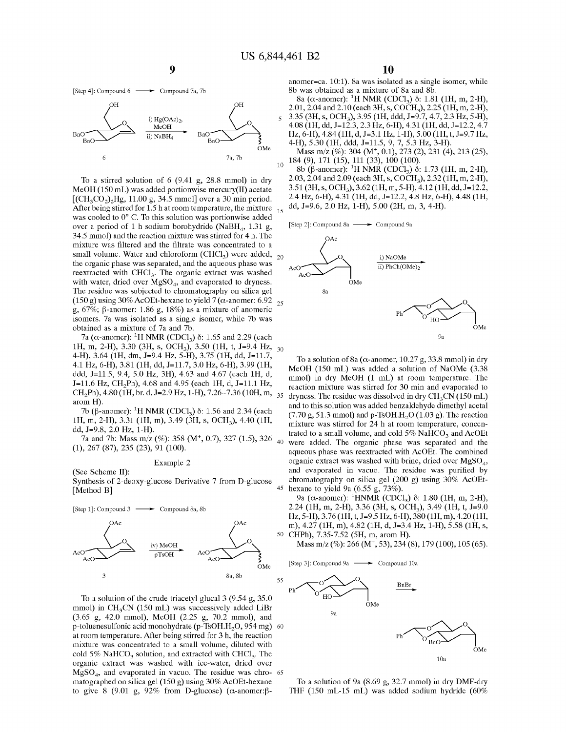[Step 4]: Compound 6  $\longrightarrow$  Compound 7a, 7b



After being stirred for 1.5 h at room temperature, the mixture  $_{15}$ To a stirred solution of 6 (9.41 g, 28.8 mmol) in dry MeOH (150 mL) was added portionwise mercury(II) acetate  $[(CH<sub>3</sub>CO<sub>2</sub>)<sub>2</sub>Hg, 11.00 g, 34.5 mmol]$  over a 30 min period. was cooled to 0° C. To this solution was portionwise added over a period of 1 h sodium borohydride (NaBH<sub>4</sub>, 1.31 g, 34.5 mmol) and the reaction mixture was stirred for 4 h. The mixture was filtered and the filtrate was concentrated to a small volume. Water and chloroform (CHCl<sub>3</sub>) were added,  $_{20}$ the organic phase was separated, and the aqueous phase was reextracted with  $CHCl<sub>3</sub>$ . The organic extract was washed with water, dried over  $MgSO<sub>4</sub>$ , and evaporated to dryness. The residue was subjected to chromatography on silica gel (150 g) using 30% AcOEt-hexane to yield 7 ( $\alpha$ -anomer: 6.92 <sub>25</sub> g, 67%;  $\beta$ -anomer: 1.86 g, 18%) as a mixture of anomeric isomers. 7a was isolated as a single isomer, while 7b was obtained as a mixture of 7a and 7b.

7a ( $\alpha$ -anomer): <sup>1</sup>H NMR (CDCl<sub>3</sub>)  $\delta$ : 1.65 and 2.29 (each lH, m, 2-H), 3.30 (3H, s, OCH3), 3.50 (lH, t, *1=9.4* Hz, 30 4-H), 3.64 (lH, dm, *1=9.4* Hz, 5-H), 3.75 (lH, dd, 1=11.7, 4.1 Hz, 6-H), 3.81 (lH, dd, 1=11.7, 3.0 Hz, 6-H), 3.99 (lH, ddd, 1=11.5, 9.4, 5.0 Hz, 3H), 4.63 and 4.67 (each lH, d,  $J=11.6$  Hz, CH<sub>2</sub>Ph), 4.68 and 4.95 (each 1H, d, J=11.1 Hz, CH<sub>2</sub>Ph),  $4.80$  (1H, br. d, J=2.9 Hz, 1-H),  $7.26 \times 7.36$  (10H, m, 35) arom **H).** 

7b (β-anomer): <sup>1</sup>H NMR (CDCl<sub>3</sub>) δ: 1.56 and 2.34 (each lH, m, 2-H), 3.31 (lH, m), 3.49 (3H, s, OCH3), 4.40 (lH, dd, *1=9.8,* 2.0 Hz, 1-H).

7a and 7b: Mass m/z (%): 358 (M<sup>+</sup>, 0.7), 327 (1.5), 326 <sub>40</sub> (1), 267 (87), 235 (23), 91 (100).

#### Example 2

(See Scheme II): Synthesis of 2-deoxy-glucose Derivative 7 from D-glucose [Method **B]** 45



To a solution of the crude triacetyl glucal 3 (9.54 g, 35.0 mmol) in CH<sub>3</sub>CN (150 mL) was successively added LiBr (3.65 g, 42.0 mmol), MeOH (2.25 g, 70.2 mmol), and p-toluenesulfonic acid monohydrate (p-TsOH.H<sub>2</sub>O, 954 mg) 60 at room temperature. After being stirred for 3 h, the reaction mixture was concentrated to a small volume, diluted with cold 5% NaHCO<sub>3</sub> solution, and extracted with CHCl<sub>3</sub>. The organic extract was washed with ice-water, dried over  $MgSO<sub>4</sub>$ , and evaporated in vacuo. The residue was chro- 65 matographed on silica gel (150 g) using 30% AcOEt-hexane to give 8 (9.01 g, 92% from D-glucose) ( $\alpha$ -anomer: $\beta$ -

anomer=ca. 10:1). Sa was isolated as a single isomer, while Sb was obtained as a mixture of Sa and Sb.

 $8a$  ( $\alpha$ -anomer): <sup>1</sup>H NMR (CDCl<sub>3</sub>)  $\delta$ : 1.81 (1H, m, 2-H), 2.01, 2.04 and 2.10 (each 3H, s, COCH<sub>3</sub>), 2.25 (1H, m, 2-H), 5 3.35 (3H, s, OCH3), 3.95 (lH, ddd, *1=9.7,* 4.7, 2.3 Hz, 5-H), 4.08 (lH, dd, 1=12.3, 2.3 Hz, 6-H), 4.31 (lH, dd, 1=12.2, 4.7 Hz, 6-H), 4.84 (lH, d, 1=3.1 Hz, 1-H), 5.00 (lH, t, *1=9.7* Hz, 4-H), 5.30 (lH, ddd, 1=11.5, 9, 7, 5.3 Hz, 3-H).

7a, 7b Mass m/z (%): 304 (M<sup>+</sup>, 0.1), 273 (2), 231 (4), 213 (25), 7a, 7b 184 (9), 171 (15), 111 (33), 100 (100).

10 184 (9), 171 (15), 111 (33), 100 (100).<br><sup>10</sup> 8b (β-anomer): <sup>1</sup>H NMR (CDCl<sub>3</sub>) δ: 1.73 (1H, m, 2-H), 2.03, 2.04 and 2.09 (each 3H, s, COCH<sub>3</sub>), 2.32 (1H, m, 2-H), 3.51 (3H, s, OCH3), 3.62 (lH, m, 5-H), 4.12 (lH, dd, 1=12.2, 2.4 Hz, 6-H), 4.31 (lH, dd, 1=12.2, 4.8 Hz, 6-H), 4.48 (lH, dd, *1=9.6,* 2.0 Hz, 1-H), 5.00 (2H, m, 3, 4-H).

[Step 2]: Compound 8a - Compound 9a



To a solution of 8a ( $\alpha$ -anomer, 10.27 g, 33.8 mmol) in dry MeOH (150 mL) was added a solution of NaOMe (3.38 mmol) in dry MeOH (1 mL) at room temperature. The reaction mixture was stirred for 30 min and evaporated to dryness. The residue was dissolved in dry  $CH<sub>3</sub>CN(150 mL)$ and to this solution was added benzaldehyde dimethyl acetal  $(7.70 \text{ g}, 51.3 \text{ mmol})$  and p-TsOH.H<sub>2</sub>O  $(1.03 \text{ g})$ . The reaction mixture was stirred for 24 h at room temperature, concentrated to a small volume, and cold  $5\%$  NaHCO<sub>3</sub> and AcOEt were added. The organic phase was separated and the aqueous phase was reextracted with AcOEt. The combined organic extract was washed with brine, dried over  $MgSO<sub>4</sub>$ , and evaporated in vacuo. The residue was purified by chromatography on silica gel (200 g) using 30% AcOEthexane to yield 9a (6.55 g, 73%).

9a (α-anomer): <sup>1</sup>HNMR (CDCl<sub>3</sub>) δ: 1.80 (1H, m, 2-H), 2.24 (lH, m, 2-H), 3.36 (3H, s, OCH3), 3.49 (lH, t, *1=9.0*  Hz, 5-H), 3.76 (lH, t, *1=9.5* Hz, 6-H), 380 (lH, m), 4.20 (lH, m), 4.27 (lH, m), 4.82 (lH, d, *1=3.4* Hz, 1-H), 5.58 (lH, s, 50 CHPh), 7.35-7.52 (SH, m, arom **H).** 

Mass m/z (%): 266 (M<sup>+</sup>, 53), 234 (8), 179 (100), 105 (65).

[Step 3]: Compound 9a  $\longrightarrow$  Compound 10a



To a solution of 9a (8.69 g, 32.7 mmol) in dry DMF-dry THF (150 mL-15 mL) was added sodium hydride (60%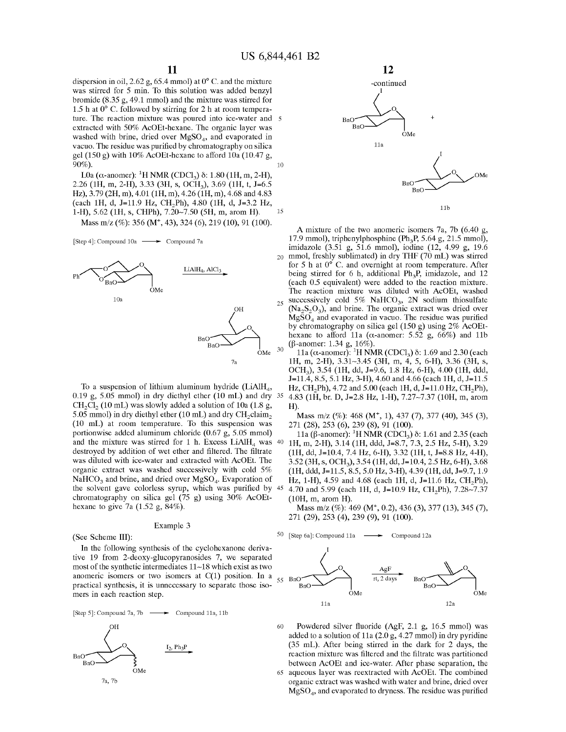dispersion in oil, 2.62 g, 65.4 mmol) at 0° C. and the mixture was stirred for 5 min. To this solution was added benzyl bromide (8.35 g, 49.1 mmol) and the mixture was stirred for 1.5 hat 0° C. followed by stirring for 2 h at room temperature. The reaction mixture was poured into ice-water and 5 extracted with 50% AcOEt-hexane. The organic layer was washed with brine, dried over  $MgSO<sub>4</sub>$ , and evaporated in vacuo. The residue was purified by chromatography on silica gel (150 g) with 10% AcOEt-hexane to afford 10a (10.47 g,  $90\%)$ . 10

2.26 (lH, m, 2-H), 3.33 (3H, s, OCH3), 3.69 (lH, t, *1=6.5*  Hz), 3.79 (2H, m), 4.01 (1H, m), 4.26 (1H, m), 4.68 and 4.83 (each lH, d, 1=11.9 Hz, CH<sup>2</sup> Ph), 4.80 (lH, d, *1=3.2* Hz, 1-H), 5.62 (lH, s, CHPh), 7.20-7.50 (SH, m, arom **H).**  15

Mass m/z (%): 356 **(M+,** 43), 324 (6), 219 (10), 91 (100).

[Step 4]: Compound  $10a \longrightarrow$  Compound 7a



To a suspension of lithium aluminum hydride **(LiAlH<sup>4</sup> ,**  0.19 g, 5.05 mmol) in dry diethyl ether (10 mL) and dry  $CH<sub>2</sub>Cl<sub>2</sub>$  (10 mL) was slowly added a solution of 10a (1.8 g, 5.05 mmol) in dry diethyl ether (10 mL) and dry  $\text{CH}_2 \text{claim}_2$ (10 mL) at room temperature. To this suspension was portionwise added aluminum chloride (0.67 g, 5.05 mmol) and the mixture was stirred for 1 h. Excess  $LiAlH<sub>4</sub>$  was  $40$ destroyed by addition of wet ether and filtered. The filtrate was diluted with ice-water and extracted with AcOEt. The organic extract was washed successively with cold 5%  $NaHCO<sub>3</sub>$  and brine, and dried over  $MgSO<sub>4</sub>$ . Evaporation of the solvent gave colorless syrup, which was purified by chromatography on silica gel (75 g) using 30% AcOEthexane to give 7a (1.52 g, 84%).

#### Example 3

(See Scheme III):

In the following synthesis of the cyclohexanone derivative 19 from 2-deoxy-glucopyranosides 7, we separated most of the synthetic intermediates 11-18 which exist as two anomeric isomers or two isomers at  $C(1)$  position. In a practical synthesis, it is unnecessary to separate those isomers in each reaction step.

[Step 5]: Compound 7a, 7b  $\longrightarrow$  Compound 11a, 11b





A mixture of the two anomeric isomers 7a, 7b (6.40 g, 17.9 mmol), triphenylphosphine (Ph<sub>3</sub>P, 5.64 g, 21.5 mmol), imidazole (3.51 g, 51.6 mmol), iodine (12, 4.99 g, 19.6 20 mmol, freshly sublimated) in dry THF (70 mL) was stirred for 5 h at 0° C. and overnight at room temperature. After being stirred for 6 h, additional  $Ph_3P$ , imidazole, and 12 (each 0.5 equivalent) were added to the reaction mixture. The reaction mixture was diluted with AcOEt, washed successively cold 5% NaHCO<sub>3</sub>, 2N sodium thiosulfate  $(Na_2S_2O_3)$ , and brine. The organic extract was dried over  $Mg\overline{SO}_4$  and evaporated in vacuo. The residue was purified by chromatography on silica gel (150 g) using 2% AcOEthexane to afford 11a ( $\alpha$ -anomer: 5.52 g, 66%) and 11b  $(\beta$ -anomer: 1.34 g, 16%).

11a ( $\alpha$ -anomer): <sup>1</sup>H NMR (CDCl<sub>3</sub>)  $\delta$ : 1.69 and 2.30 (each lH, m, 2-H), 3.31-3.45 (3H, m, 4, 5, 6-H), 3.36 (3H, s, OCH3), 3.54 (lH, dd, *1=9.6,* 1.8 Hz, 6-H), 4.00 (lH, ddd, 1=11.4, 8.5, 5.1 Hz, 3-H), 4.60 and 4.66 (each lH, d, 1=11.5 Hz, CH<sub>2</sub>Ph), 4.72 and 5.00 (each 1H, d, J=11.0 Hz, CH<sub>2</sub>Ph), <sup>35</sup> 4.83 (1H, br. D, J=2.8 Hz, 1-H), 7.27~7.37 (10H, m, arom **H).** 

Mass m/z (%): 468 (M<sup>+</sup>, 1), 437 (7), 377 (40), 345 (3), 271 (28), 253 (6), 239 (8), 91 (100).

11a (β-anomer): <sup>1</sup>H NMR (CDCl<sub>3</sub>)  $\delta$ : 1.61 and 2.35 (each 40 lH, m, 2-H), 3.14 (lH, ddd, *1=8.7,* 7.3, 2.5 Hz, 5-H), 3.29 (lH, dd, *1=10.4,* 7.4 Hz, 6-H), 3.32 (lH, t, *1=8.8* Hz, 4-H), 3.52 (3H, s, OCH3), 3.54 (lH, dd, *1=10.4,* 2.5 Hz, 6-H), 3.68 (lH, ddd, 1=11.5, 8.5, 5.0 Hz, 3-H), 4.39 (lH, dd, *1=9.7,* 1.9 Hz, 1-H), 4.59 and 4.68 (each 1H, d, J=11.6 Hz, CH<sub>2</sub>Ph), 4.70 and 5.99 (each 1H, d, J=10.9 Hz, CH<sub>2</sub>Ph), 7.28~7.37 (lOH, m, arom **H).** 

Mass m/z (%): 469 (M<sup>+</sup>, 0.2), 436 (3), 377 (13), 345 (7), 271 (29), 253 (4), 239 (9), 91 (100).

[Step 6a]: Compound 11a  $\longrightarrow$  Compound 12a



60 Powdered silver fluoride (AgF, 2.1 g, 16.5 mmol) was added to a solution of 11a  $(2.0 g, 4.27 mmol)$  in dry pyridine (35 mL). After being stirred in the dark for 2 days, the reaction mixture was filtered and the filtrate was partitioned between AcOEt and ice-water. After phase separation, the 65 aqueous layer was reextracted with AcOEt. The combined organic extract was washed with water and brine, dried over  $MgSO<sub>4</sub>$ , and evaporated to dryness. The residue was purified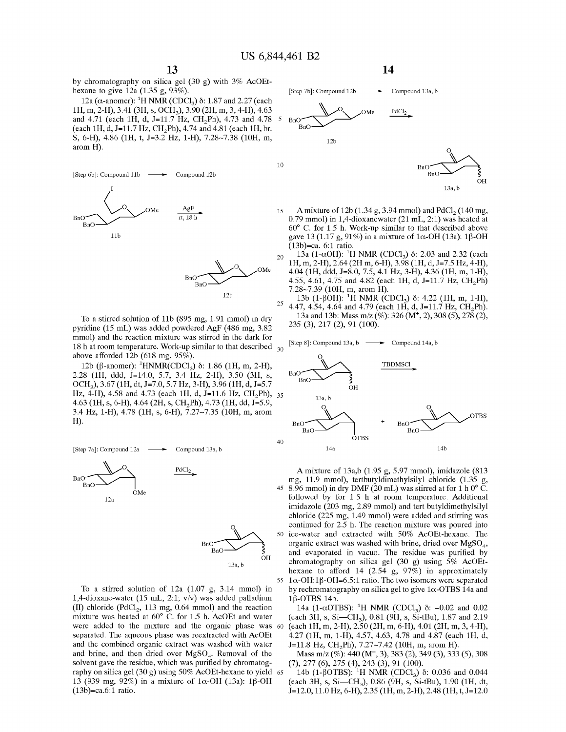by chromatography on silica gel (30 g) with 3% AcOEthexane to give 12a (1.35 g, 93%).

12a ( $\alpha$ -anomer): <sup>1</sup>H NMR (CDCl<sub>3</sub>)  $\delta$ : 1.87 and 2.27 (each lH, m, 2-H), 3.41 (3H, s, OCH3), 3.90 (2H, m, 3, 4-H), 4.63 and 4.71 (each 1H, d, J=11.7 Hz, CH<sub>2</sub>Ph), 4.73 and 4.78  $\frac{5}{1}$ (each 1H, d, J=11.7 Hz, CH<sub>2</sub>Ph), 4.74 and 4.81 (each 1H, br. S, 6-H), 4.86 (lH, t, *1=3.2* Hz, 1-H), 7.28-7.38 (lOH, m, arom **H).** 



To a stirred solution of llb (895 mg, 1.91 mmol) in dry pyridine (15 mL) was added powdered AgF (486 mg, 3.82 mmol) and the reaction mixture was stirred in the dark for 18 h at room temperature. Work-up similar to that described  $_{30}$ above afforded 12b (618 mg, 95%).

12b (β-anomer): <sup>1</sup>HNMR(CDCl<sub>3</sub>) δ: 1.86 (1H, m, 2-H), 2.28 **(lH,** ddd, 1=14.0, 5.7, 3.4 **Hz, 2-H),** 3.50 **(3H, s, OCH<sup>3</sup> ),** 3.67 **(lH,** dt, *1=7.0,* 5.7 **Hz, 3-H),** 3.96 **(lH,** d, *1=5.7*  **Hz, 4-H),** 4.58 and 4.73 (each **lH,** d, 1=11.6 **Hz, CH2Ph),** 35 4.63 **(lH, s, 6-H),** 4.64 **(2H, s, CH2Ph),** 4.73 **(lH,** dd, *1=5.9,*  3.4 **Hz, 1-H),** 4.78 **(lH, s, 6-H),** 7.27-7.35 **(lOH,** m, arom **H).** 



To a stirred solution of 12a (1.07 g, 3.14 mmol) in 1,4-dioxane-water (15 mL, 2:1; v/v) was added palladium (II) chloride (PdCl<sub>2</sub>, 113 mg, 0.64 mmol) and the reaction mixture was heated at 60° C. for 1.5 h. AcOEt and water were added to the mixture and the organic phase was 60 separated. The aqueous phase was reextracted with AcOEt and the combined organic extract was washed with water and brine, and then dried over  $MgSO<sub>4</sub>$ . Removal of the solvent gave the residue, which was purified by chromatography on silica gel (30 g) using 50% AcOEt-hexane to yield 65 13 (939 mg, 92%) in a mixture of  $1\alpha$ -OH (13a): 1 $\beta$ -OH (13b)=ca.6:1 ratio.



A mixture of  $12b(1.34 g, 3.94 mmol)$  and  $PdCl<sub>2</sub>(140 mg,$ 0.79 mmol) in 1,4-dioxanewater (21 mL, 2:1) was heated at 60° C. for 1.5 h. Work-up similar to that described above gave 13 (1.17 g, 91%) in a mixture of  $1\alpha$ -OH (13a): 1 $\beta$ -OH  $(13b)$ =ca. 6:1 ratio.

.<br>ОН

13a,b

- $13a$  (1-αOH): <sup>1</sup>H NMR (CDCl<sub>3</sub>)  $\delta$ : 2.03 and 2.32 (each lH, m, 2-H), 2.64 (2H m, 6-H), 3.98 (lH, d, *1=7.5* Hz, 4-H), 4.04 (lH, ddd, *1=8.0,* 7.5, 4.1 Hz, 3-H), 4.36 (lH, m, 1-H), 4.55, 4.61, 4.75 and 4.82 (each 1H, d, J=11.7 Hz, CH<sub>2</sub>Ph) 7.28~7.39 (10H, m, arom H).<br><sup>12b</sup> <sup>13b</sup> <sup>13b</sup> <sup>16</sup> ROH)<sup>, 1</sup>H NMP (C)
	- 13b (1- $\beta$ OH): <sup>1</sup>H NMR (CDCl<sub>3</sub>)  $\delta$ : 4.22 (1H, m, 1-H),  $^{25}$  4.47, 4.54, 4.64 and 4.79 (each 1H, d, J=11.7 Hz, CH<sub>2</sub>Ph). 13a and 13b: Mass m/z (%): 326 (M<sup>+</sup>, 2), 308 (5), 278 (2), 235 (3), 217 (2), 91 (100).

[Step 8]: Compound 13a, b ← Compound 14a, b



**A** mixture of 13a,b (1.95 g, 5.97 mmol), imidazole (813 8.96 mmol) in dry DMF  $(20 \text{ mL})$  was stirred at for 1 h  $0^{\circ}$  C. followed by for 1.5 h at room temperature. Additional imidazole (203 mg, 2.89 mmol) and tert butyldimethylsilyl chloride (225 mg, 1.49 mmol) were added and stirring was continued for 2.5 h. The reaction mixture was poured into 50 ice-water and extracted with 50% AcOEt-hexane. The organic extract was washed with brine, dried over  $MgSO<sub>4</sub>$ , and evaporated in vacuo. The residue was purified by chromatography on silica gel (30 g) using 5% AcOEthexane to afford 14 (2.54 g, 97%) in approximately 55 1 $\alpha$ -OH:1 $\beta$ -OH=6.5:1 ratio. The two isomers were separated by rechromatography on silica gel to give  $1\alpha$ -OTBS 14a and  $1\beta$ -OTBS 14b.

14a (1-αOTBS): <sup>1</sup>H NMR (CDCl<sub>3</sub>)  $\delta$ : -0.02 and 0.02 (each 3H, s, Si-CH3), 0.81 (9H, s, Si-tBu), 1.87 and 2.19 (each 1H, m, 2-H), 2.50 (2H, m, 6-H), 4.01 (2H, m, 3, 4-H), 4.27 (lH, m, 1-H), 4.57, 4.63, 4.78 and 4.87 (each lH, d, J=11.8 Hz, CH<sub>2</sub>Ph), 7.27~7.42 (10H, m, arom H).

Mass m/z  $(\%): 440 \, (M^+, 3), 383 \, (2), 349 \, (3), 333 \, (5), 308$ (7), 277 (6), 275 (4), 243 (3), 91 (100).

14b (1-βOTBS): <sup>1</sup>H NMR (CDCl<sub>3</sub>) δ: 0.036 and 0.044 (each 3H, s, Si-CH<sub>3</sub>), 0.86 (9H, s, Si-tBu), 1.90 (1H, dt, 1=12.0, 11.0 Hz, 6-H), 2.35 (lH, m, 2-H), 2.48 (lH, t, 1=12.0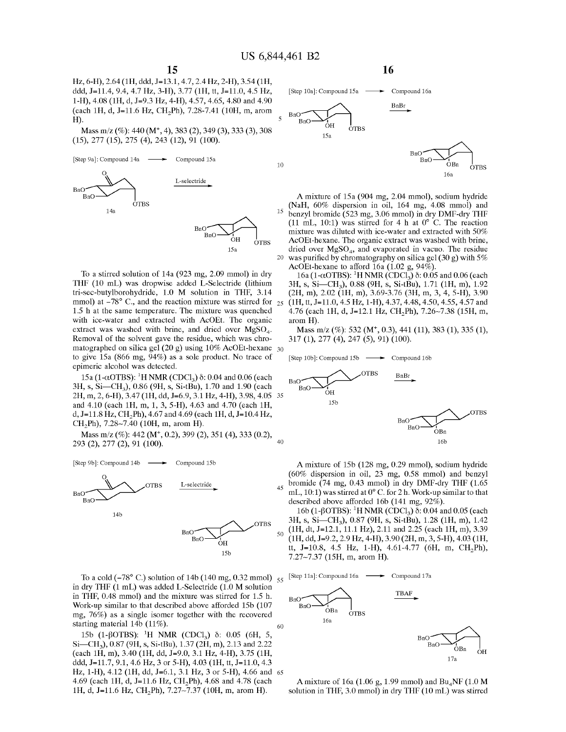Hz, 6-H), 2.64 (lH, ddd, 1=13.1, 4.7, 2.4 Hz, 2-H), 3.54 (lH, ddd, 1=11.4, 9.4, 4.7 Hz, 3-H), 3.77 (lH, tt, 1=11.0, 4.5 Hz, 1-H), 4.08 (lH, d, *1=9.3* Hz, 4-H), 4.57, 4.65, 4.80 and 4.90 (each 1H, d, J=11.6 Hz, CH<sub>2</sub>Ph), 7.28-7.41 (10H, m, arom **H).** 

Mass m/z (%): 440 (M+, 4), 383 (2), 349 (3), 333 (3), 308 (15), 277 (15), 275 (4), 243 (12), 91 (100).



To a stirred solution of 14a (923 mg, 2.09 mmol) in dry **THF** (10 mL) was dropwise added L-Selectride (lithium tri-sec-butylborohydride, 1.0 **M** solution in **THF,** 3.14 mmol) at  $-78^{\circ}$  C., and the reaction mixture was stirred for  $_{25}$ 1.5 h at the same temperature. The mixture was quenched with ice-water and extracted with AcOEt. The organic extract was washed with brine, and dried over  $MgSO<sub>4</sub>$ . Removal of the solvent gave the residue, which was chromatographed on silica gel (20 g) using 10% AcOEt-hexane 30 to give 15a (866 mg, 94%) as a sole product. No trace of epimeric alcohol was detected.

15a (1-αOTBS): <sup>1</sup>H NMR (CDCl<sub>3</sub>) δ: 0.04 and 0.06 (each 3H, s, Si-CH3), 0.86 (9H, s, Si-tBu), 1.70 and 1.90 (each 2H, m, 2, 6-H), 3.47 (lH, dd, *1=6.9,* 3.1 Hz, 4-H), 3.98, 4.05 35 and 4.10 (each lH, m, 1, 3, 5-H), 4.63 and 4.70 (each lH, d, 1=11.8 Hz, CH<sup>2</sup> Ph), 4.67 and 4.69 (each lH, d, *1=10.4* Hz, CH<sub>2</sub>Ph), 7.28~7.40 (10H, m, arom H).

Mass m/z (%): 442 (M<sup>+</sup>, 0.2), 399 (2), 351 (4), 333 (0.2), 293 (2), 277 (2), 91 (100).



To a cold  $(-78^{\circ}$  C.) solution of 14b (140 mg, 0.32 mmol)  $_{55}$ in dry **THF** (1 mL) was added L-Selectride (1.0 **M** solution in **THF,** 0.48 mmol) and the mixture was stirred for 1.5 h. Work-up similar to that described above afforded 15b (107 mg, 76%) as a single isomer together with the recovered starting material 14b (11%).

15b (1-βOTBS): <sup>1</sup>H NMR (CDCl<sub>3</sub>) δ: 0.05 (6H, 5, Si-CH<sub>3</sub>), 0.87 (9H, s, Si-tBu), 1.37 (2H, m), 2.13 and 2.22 (each lH, m), 3.40 (lH, dd, *1=9.0,* 3.1 Hz, 4-H), 3.75 (lH, ddd, 1=11.7, 9.1, 4.6 **Hz,** 3 or **5-H),** 4.03 **(lH,** tt, 1=11.0, 4.3 **Hz, 1-H),** 4.12 **(lH,** dd, 1=6.1, 3.1 **Hz,** 3 or **5-H),** 4.66 and 65 4.69 (each **lH,** d, 1=11.6 **Hz, CH2Ph),** 4.68 and 4.78 (each **lH,** d, 1=11.6 **Hz, CH2Ph),** 7.27-7.37 **(lOH,** m, arom **H).** 



**A** mixture of 15a (904 mg, 2.04 mmol), sodium hydride **(NaH,** 60% dispersion in oil, 164 mg, 4.08 mmol) and 15 benzyl bromide (523 mg, 3.06 mmol) in dry DMF-dry THF (11 mL, 10:1) was stirred for 4 h at  $0^{\circ}$  C. The reaction mixture was diluted with ice-water and extracted with 50% AcOEt-hexane. The organic extract was washed with brine, dried over  $MgSO<sub>4</sub>$ , and evaporated in vacuo. The residue 20 was purified by chromatography on silica gel (30 g) with  $5\%$ AcOEt-hexane to afford  $16a (1.02 g, 94\%)$ .

 $16a (1-\alpha OTBS):$ <sup>1</sup>H NMR (CDCI<sub>3</sub>) δ: 0.05 and 0.06 (each 3H, s, Si-CH3), 0.88 (9H, s, Si-tBu), 1.71 (lH, m), 1.92 (2H, m), 2.02 (lH, m), 3.69-3.76 (3H, m, 3, 4, 5-H), 3.90 25 (lH, tt, 1=11.0, 4.5 Hz, 1-H), 4.37, 4.48, 4.50, 4.55, 4.57 and 4.76 (each 1H, d, J=12.1 Hz, CH<sub>2</sub>Ph), 7.26~7.38 (15H, m, arom **H).** 

Mass m/z (%): 532 (M<sup>+</sup>, 0.3), 441 (11), 383 (1), 335 (1), 317 (1), 277 (4), 247 (5), 91) (100).



A mixture of 15b (128 mg, 0.29 mmol), sodium hydride (60% dispersion in oil, 23 mg, 0.58 mmol) and benzyl 45 bromide (74 mg, 0.43 mmol) in dry DMF-dry THF (1.65 mL, 10:1) was stirred at 0° C. for 2 h. Work-up similar to that described above afforded 16b (141 mg, 92%).

16b (1-βOTBS): <sup>1</sup>H NMR (CDCl<sub>3</sub>) δ: 0.04 and 0.05 (each 3H, s, Si-CH3), 0.87 (9H, s, Si-tBu), 1.28 (lH, m), 1.42 (lH, dt, 1=12.1, 11.1 Hz), 2.11 and 2.25 (each lH, m), 3.39 (lH, dd, *1=9.2,* 2.9 Hz, 4-H), 3.90 (2H, m, 3, 5-H), 4.03 (lH, tt, J=10.8, 4.5 Hz, 1-H), 4.61-4.77 (6H, m, CH<sub>2</sub>Ph), 7.27-7.37 (15H, m, arom **H).** 

<sup>55</sup>[Step 11a]: Compound 16a Compound 17a



**A** mixture of 16a (1.06 g, 1.99 mmol) and **Bu4NF** (1.0 **M**  solution in THF, 3.0 mmol) in dry THF (10 mL) was stirred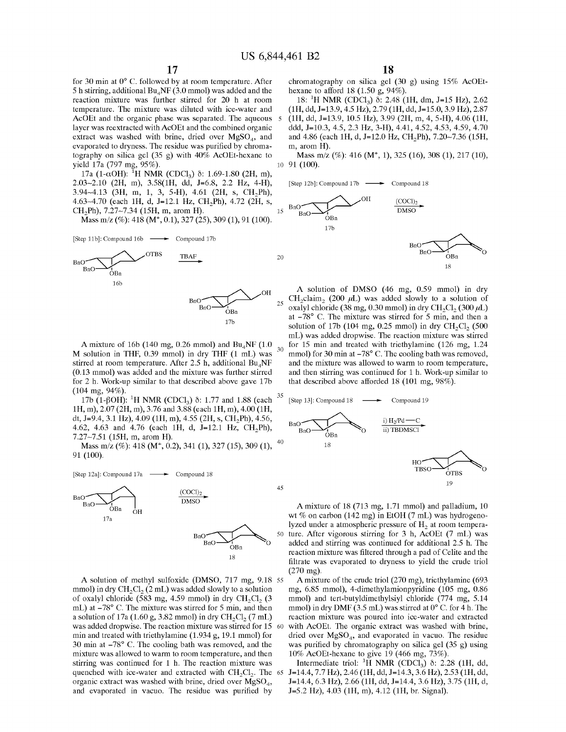for 30 min at 0° C. followed by at room temperature. After 5 h stirring, additional  $Bu<sub>4</sub>NF (3.0 mmol)$  was added and the reaction mixture was further stirred for 20 h at room temperature. The mixture was diluted with ice-water and AcOEt and the organic phase was separated. The aqueous 5 layer was reextracted with AcOEt and the combined organic extract was washed with brine, dried over  $MgSO<sub>A</sub>$ , and evaporated to dryness. The residue was purified by chromatography on silica gel (35 g) with 40% AcOEt-hexane to yield 17a (797 mg, 95%).

17a (1-αOH): <sup>1</sup>H NMR (CDCl<sub>3</sub>) δ: 1.69-1.80 (2H, m), 2.03-2.10 (2H, m), 3.58(1H, dd, *1=6.8,* 2.2 Hz, 4-H), 3.94~4.13 (3H, m, 1, 3, 5-H), 4.61 (2H, s,  $CH<sub>2</sub>Ph$ ), 4.63~4.70 (each 1H, d, J=12.1 Hz, CH<sub>2</sub>Ph), 4.72 (2H, s, CH<sup>2</sup> Ph), 7.27-7.34 (15H, m, arom **H).** 

Mass m/z (%): 418 (M<sup>+</sup>, 0.1), 327 (25), 309 (1), 91 (100).

[Step 11b]: Compound 16b - Compound 17b



A mixture of 16b (140 mg, 0.26 mmol) and Bu<sub>4</sub>NF (1.0) M solution in THF, 0.39 mmol) in dry THF (1 mL) was stirred at room temperature. After 2.5 h, additional Bu<sub>4</sub>NF (0.13 mmol) was added and the mixture was further stirred for 2 h. Work-up similar to that described above gave 17b

(104 mg, 94%).<br>17b (1-βOH): <sup>1</sup>H NMR (CDCl<sub>3</sub>) δ: 1.77 and 1.88 (each <sup>35</sup> lH, m), 2.07 (2H, m), 3.76 and 3.88 (each lH, m), 4.00 (lH, dt, J=9.4, 3.1 Hz), 4.09 (1H, m), 4.55 (2H, s, CH<sub>2</sub>Ph), 4.56, 4.62, 4.63 and 4.76 (each 1H, d,  $J=12.1$  Hz,  $CH_2Ph$ ), 7.27~7.51 (15H, m, arom H).

Mass m/z (%): 418 (M<sup>+</sup>, 0.2), 341 (1), 327 (15), 309 (1), <sup>40</sup> 91 (100).





A solution of methyl sulfoxide (DMSO, 717 mg, 9.18 ss mmol) in dry CH<sub>2</sub>Cl<sub>2</sub> (2 mL) was added slowly to a solution of oxalyl chloride (583 mg, 4.59 mmol) in dry CH<sub>2</sub>Cl<sub>2</sub> (3 mL) at  $-78^{\circ}$  C. The mixture was stirred for 5 min, and then a solution of 17a (1.60 g, 3.82 mmol) in dry CH<sub>2</sub>Cl<sub>2</sub> (7 mL) was added dropwise. The reaction mixture was stirred for 15 60 min and treated with triethylamine (1.934 g, 19.1 mmol) for 30 min at  $-78^\circ$  C. The cooling bath was removed, and the mixture was allowed to warm to room temperature, and then stirring was continued for 1 h. The reaction mixture was quenched with ice-water and extracted with  $CH_2Cl_2$ . The 65 organic extract was washed with brine, dried over  $MgSO<sub>4</sub>$ , and evaporated in vacuo. The residue was purified by

chromatography on silica gel (30 g) using 15% AcOEthexane to afford 18 (1.50 g, 94%).

18: <sup>1</sup>H NMR (CDCl<sub>3</sub>) δ: 2.48 (1H, dm, J=15 Hz), 2.62 (lH, dd, 1=13.9, 4.5 Hz), 2.79 (lH, dd, 1=15.0, 3.9 Hz), 2.87 (lH, dd, 1=13.9, 10.5 Hz), 3.99 (2H, m, 4, 5-H), 4.06 (lH, ddd, *1=10.3,* 4.5, 2.3 Hz, 3-H), 4.41, 4.52, 4.53, 4.59, 4.70 and 4.86 (each 1H, d, J=12.0 Hz, CH<sub>2</sub>Ph), 7.20~7.36 (15H, m, arom **H).** 

Mass m/z (%): 416 (M<sup>+</sup>, 1), 325 (16), 308 (1), 217 (10), 10 91 (100).



**A** solution of **DMSO** ( 46 mg, 0.59 mmol) in dry CH<sub>2</sub> claim<sub>2</sub> (200  $\mu$ L) was added slowly to a solution of oxalyl chloride (38 mg, 0.30 mmol) in dry CH<sub>2</sub>Cl<sub>2</sub> (300  $\mu$ L) at  $-78^{\circ}$  C. The mixture was stirred for 5 min, and then a solution of 17b (104 mg, 0.25 mmol) in dry  $\text{CH}_2\text{Cl}_2$  (500 mL) was added dropwise. The reaction mixture was stirred for 15 min and treated with triethylamine (126 mg,  $1.24$ ) mmol) for 30 min at  $-78^{\circ}$  C. The cooling bath was removed, and the mixture was allowed to warm to room temperature, and then stirring was continued for 1 h. Work-up similar to that described above afforded 18 (101 mg, 98%).



A mixture of 18 (713 mg, 1.71 mmol) and palladium, 10 wt % on carbon (142 mg) in EtOH (7 mL) was hydrogenolyzed under a atmospheric pressure of **H2** at room temperaso ture. After vigorous stirring for 3 h, AcOEt (7 mL) was added and stirring was continued for additional 2.5 h. The reaction mixture was filtered through a pad of Celite and the filtrate was evaporated to dryness to yield the crude triol (270 mg).

**A** mixture of the crude trial (270 mg), triethylamine (693 mg, 6.85 mmol), 4-dimethylamionpyridine (105 mg, 0.86 mmol) and tert-butyldimethylsiyl chloride (774 mg, 5.14 mmol) in dry **DMF** (3.5 mL) was stirred at 0° C. for 4 h. The reaction mixture was poured into ice-water and extracted with AcOEt. The organic extract was washed with brine, dried over  $MgSO_4$ , and evaporated in vacuo. The residue was purified by chromatography on silica gel (35 g) using 10% AcOEt-hexane to give 19 (466 mg, 73%).

Intermediate triol: <sup>1</sup>H NMR (CDCl<sub>3</sub>)  $\delta$ : 2.28 (1H, dd, 65 1=14.4, 7.7 Hz), 2.46 (lH, dd, 1=14.3, 3.6 Hz), 2.53 (lH, dd, 1=14.4, 6.3 Hz), 2.66 (lH, dd, 1=14.4, 3.6 Hz), 3.75 (lH, d, *1=5.2* Hz), 4.03 (lH, m), 4.12 (lH, br. Signal).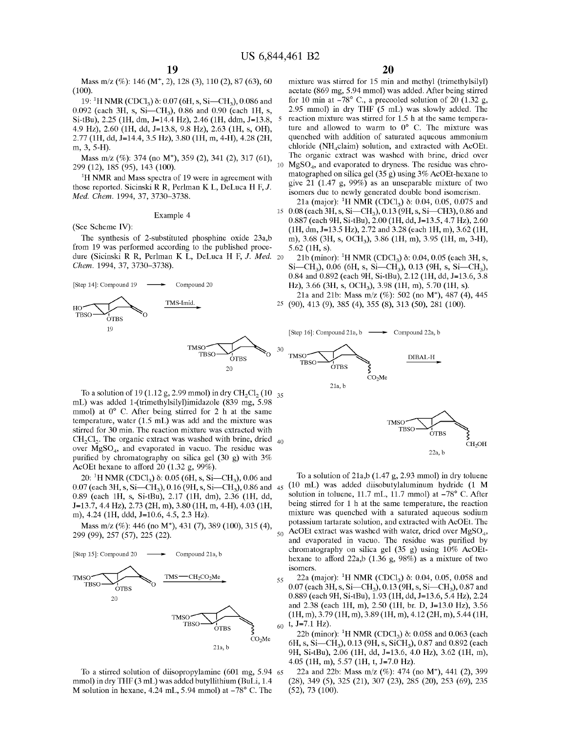Mass m/z (%): 146 (M+, 2), 128 (3), 110 (2), 87 (63), 60 (100).

19: <sup>1</sup>H NMR (CDCl<sub>3</sub>) δ: 0.07 (6H, s, Si—CH<sub>3</sub>), 0.086 and 0.092 (each 3H, s, Si-CH<sub>3</sub>), 0.86 and 0.90 (each 1H, s, Si-tBu), 2.25 (1H, dm, J=14.4 Hz), 2.46 (1H, ddm, J=13.8, 5 4.9 Hz), 2.60 (lH, dd, 1=13.8, 9.8 Hz), 2.63 (lH, s, OH), 2.77 (lH, dd, 1=14.4, 3.5 Hz), 3.80 (lH, m, 4-H), 4.28 (2H, m, 3, 5-H).

299 (12), 185 (95), 143 (100).

**1 H** NMR and Mass spectra of 19 were in agreement with those reported. Sicinski R R, Perlman K L, DeLuca **H** F, J. *Med. Chem.* 1994, 37, 3730-3738.

#### Example 4

(See Scheme IV):

from 19 was performed according to the published procedure (Sicinski R R, Perlman K L, DeLuca **H** F, J. *Med.* 20 *Chem.* 1994, 37, 3730-3738).



To a solution of 19 (1.12 g, 2.99 mmol) in dry CH<sub>2</sub>Cl<sub>2</sub> (10  $_{35}$ ) mL) was added 1-(trimethylsilyl)imidazole (839 mg, 5.98 mmol) at  $0^{\circ}$  C. After being stirred for 2 h at the same temperature, water (1.5 mL) was add and the mixture was stirred for 30 min. The reaction mixture was extracted with  $CH<sub>2</sub>Cl<sub>2</sub>$ . The organic extract was washed with brine, dried  $_{40}$ over  $MgSO<sub>4</sub>$ , and evaporated in vacuo. The residue was purified by chromatography on silica gel (30 g) with 3% AcOEt hexane to afford 20 (1.32 g, 99%).

20: <sup>1</sup>H NMR (CDCl<sub>3</sub>)  $\delta$ : 0.05 (6H, s, Si—CH<sub>3</sub>), 0.06 and 0.07 (each 3H, s, Si-CH<sub>3</sub>), 0.16 (9H, s, Si-CH<sub>3</sub>), 0.86 and 45 0.89 (each lH, s, Si-tBu), 2.17 (lH, dm), 2.36 (lH, dd, 1=13.7, 4.4 Hz), 2.73 (2H, m), 3.80 (lH, m, 4-H), 4.03 (lH, m), 4.24 (lH, ddd, *1=10.6,* 4.5, 2.3 Hz).

299 (99), 257 (57), 225 (22).





To a stirred solution of diisopropylamine (601 mg, 5.94 65 mmol) in dry THF (3 mL) was added butyllithium (BuLi, 1.4 M solution in hexane,  $4.24$  mL,  $5.94$  mmol) at  $-78^{\circ}$  C. The

mixture was stirred for 15 min and methyl (trimethylsilyl) acetate (869 mg, 5.94 mmol) was added. After being stirred for 10 min at  $-78^{\circ}$  C., a precooled solution of 20 (1.32 g, 2.95 mmol) in dry **THF** (5 mL) was slowly added. The reaction mixture was stirred for 1.5 h at the same temperature and allowed to warm to  $0^{\circ}$  C. The mixture was quenched with addition of saturated aqueous ammonium chloride (NH<sub>4</sub>claim) solution, and extracted with AcOEt. Mass m/z  $(\%)$ : 374 (no M<sup>+</sup>), 359 (2), 341 (2), 317 (61), The organic extract was washed with brine, dried over  $(0.42)$ ,  $185 (0.5)$ ,  $142 (100)$  $MgSO<sub>4</sub>$ , and evaporated to dryness. The residue was chromatographed on silica gel (35 g) using 3% AcOEt-hexane to give 21 (1.47 g, 99%) as an unseparable mixture of two isomers due to newly generated double bond isomerism. 21a (major): <sup>1</sup>H NMR (CDCl<sub>3</sub>) δ: 0.04, 0.05, 0.075 and

15 0.08 (each 3H, s, Si-CH<sub>3</sub>), 0.13 (9H, s, Si-CH3), 0.86 and 0.887 (each 9H, Si-tBu), 2.00 (lH, dd, 1=13.5, 4.7 Hz), 2.60 (lH, dm, 1=13.5 Hz), 2.72 and 3.28 (each lH, m), 3.62 (lH, The synthesis of 2-substituted phosphine oxide 23a,b m), 3.68 (3H, s, OCH<sub>3</sub>), 3.86 (1H, m), 3.95 (1H, m, 3-H), 5.62 (lH, s).

> 21b (minor): <sup>1</sup>H NMR (CDCl<sub>3</sub>) δ: 0.04, 0.05 (each 3H, s,  $Si-CH<sub>3</sub>$ ), 0.06 (6H, s, Si-CH<sub>3</sub>), 0.13 (9H, s, Si-CH<sub>3</sub>), 0.84 and 0.892 (each 9H, Si-tBu), 2.12 (lH, dd, 1=13.6, 3.8 Hz), 3.66 (3H, s, OCH<sub>3</sub>), 3.98 (1H, m), 5.70 (1H, s). 21a and 21b: Mass m/z (%): 502 (no M+), 487 (4), 445

25 (90), 413 (9), 385 (4), 355 (8), 313 (50), 281 (100).



To a solution of 21a,b (1.47 g, 2.93 mmol) in dry toluene (10 mL) was added diisobutylaluminum hydride (1 **M**  solution in toluene, 11.7 mL, 11.7 mmol) at -78° C. After being stirred for 1 h at the same temperature, the reaction mixture was quenched with a saturated aqueous sodium Mass m/z (%): 446 (no M<sup>+</sup>), 431 (7), 389 (100), 315 (4), potassium tartarate solution, and extracted with AcOEt. The AcOEt extract was washed with water, dried over  $MgSO<sub>4</sub>$ , and evaporated in vacuo. The residue was purified by chromatography on silica gel (35 g) using 10% AcOEthexane to afford 22a,b (1.36 g, 98%) as a mixture of two isomers.

CH<sub>2</sub>OH

22a, b

55 22a (major): <sup>1</sup>H NMR (CDCl<sub>3</sub>) δ: 0.04, 0.05, 0.058 and 0.07 (each 3H, s, Si-CH<sub>3</sub>), 0.13 (9H, s, Si-CH<sub>3</sub>), 0.87 and 0.889 (each 9H, Si-tBu), 1.93 (lH, dd, 1=13.6, 5.4 Hz), 2.24 and 2.38 (each lH, m), 2.50 (lH, br. D, 1=13.0 Hz), 3.56 TMSO TBSO (1H, m), 3.79 (1H, m), 3.89 (1H, m), 4.12 (2H, m), 5.44 (1H, m) TBSO  $(1H, m)$ ,  $3.79$  (1H, m),  $3.89$  (1H, m),  $4.12$  (2H, m),  $5.44$  (1H, <sup>1</sup>~ 60 t, *1=7.l* Hz).

22b (minor): <sup>1</sup>H NMR (CDCl<sub>3</sub>) δ: 0.058 and 0.063 (each 6H, s, Si-CH<sub>3</sub>), 0.13 (9H, s, SiCH<sub>3</sub>), 0.87 and 0.892 (each 9H, Si-tBu), 2.06 (lH, dd, 1=13.6, 4.0 Hz), 3.62 (lH, m), 4.05 (lH, m), 5.57 (lH, t, *1=7.0* Hz).

22a and 22b: Mass m/z (%): 474 (no M+), 441 (2), 399 (28), 349 (5), 325 (21), 307 (23), 285 (20), 253 (69), 235 (52), 73 (100).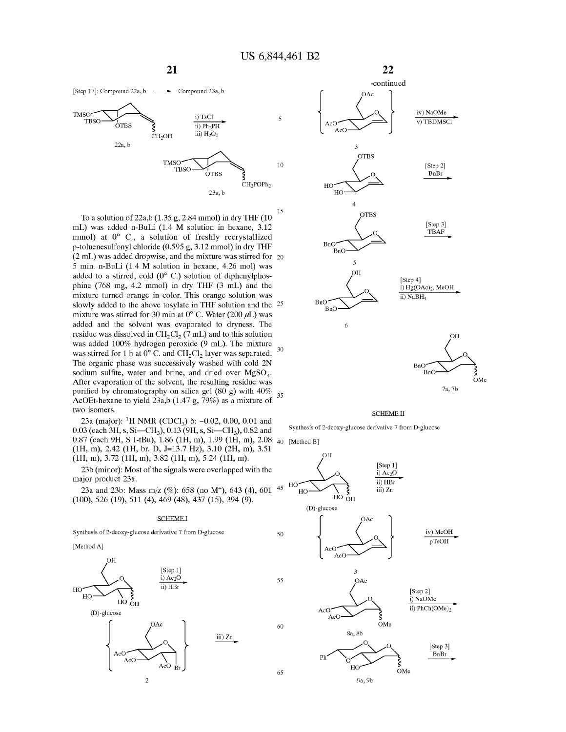



To a solution of 22a,b (1.35 g, 2.84 mmol) in dry **THF** (10 mL) was added n-BuLi (1.4 **M** solution in hexane, 3.12 mmol) at  $0^{\circ}$  C., a solution of freshly recrystallized p-toluenesulfonyl chloride (0.595 g, 3.12 mmol) in dry **THF**  15 (2 mL) was added dropwise, and the mixture was stirred for 20 5 min. n-BuLi (1.4 **M** solution in hexane, 4.26 mol) was added to a stirred, cold  $(0^{\circ}$  C.) solution of diphenylphosphine (768 mg, 4.2 mmol) in dry **THF** (3 mL) and the mixture turned orange in color. This orange solution was slowly added to the above tosylate in **THF** solution and the 25 mixture was stirred for 30 min at  $0^{\circ}$  C. Water (200  $\mu$ L) was added and the solvent was evaporated to dryness. The residue was dissolved in  $CH_2Cl_2$  (7 mL) and to this solution was added 100% hydrogen peroxide (9 mL). The mixture was stirred for 1 h at  $0^{\circ}$  C. and CH<sub>2</sub>Cl<sub>2</sub> layer was separated. The organic phase was successively washed with cold 2N sodium sulfite, water and brine, and dried over  $MgSO<sub>4</sub>$ . After evaporation of the solvent, the resulting residue was purified by chromatography on silica gel  $(80 \text{ g})$  with  $40\%$ purified by chromatography on silica gel (80 g) with 40%  $35$ <br>AcOEt-hexane to yield 23a,b (1.47 g, 79%) as a mixture of two isomers.

23a (major): <sup>1</sup>H NMR (CDCl<sub>3</sub>)  $\delta$ : -0.02, 0.00, 0.01 and 0.03 (each 3H, s, Si-CH<sub>3</sub>), 0.13 (9H, s, Si-CH<sub>3</sub>), 0.82 and 0.87 (each 9H, S I-tBu), 1.86 (1H, m), 1.99 (1H, m), 2.08 <sub>40</sub> [Method B] (lH, m), 2.42 (lH, br. D, 1=13.7 Hz), 3.10 (2H, m), 3.51 (lH, m), 3.72 (lH, m), 3.82 (lH, m), 5.24 (lH, m).

23b (minor): Most of the signals were overlapped with the major product 23a.

23a and 23b: Mass m/z (%): 658 (no M<sup>+</sup>), 643 (4), 601 <sup>45</sup> (100), 526 (19), 511 (4), 469 (48), 437 (15), 394 (9).

#### SCHEME I

Synthesis of 2-deoxy-glucose derivative 7 from O-glucose

[Method A]





#### SCHEME II

Synthesis of 2-deoxy-glucose derivative 7 from O-glucose

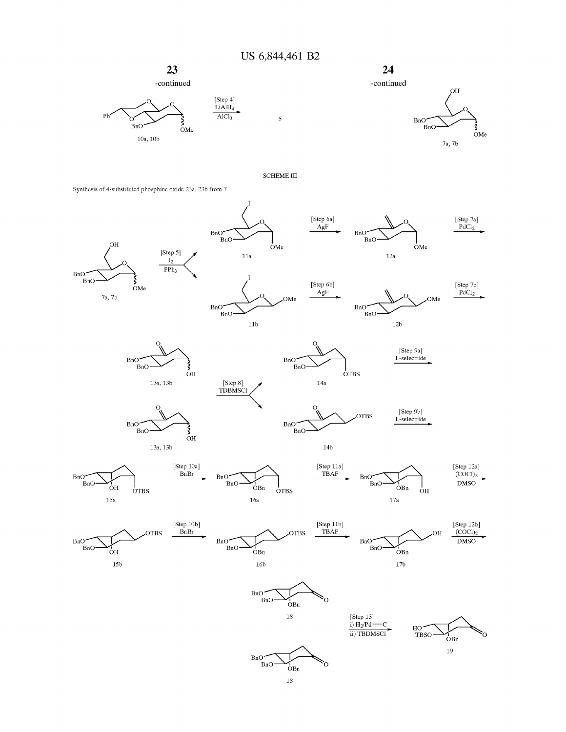**US 6,844,461 B2** 











#### SCHEME III

5

Synthesis of 4-substituted phosphine oxide 23a, 23b from 7